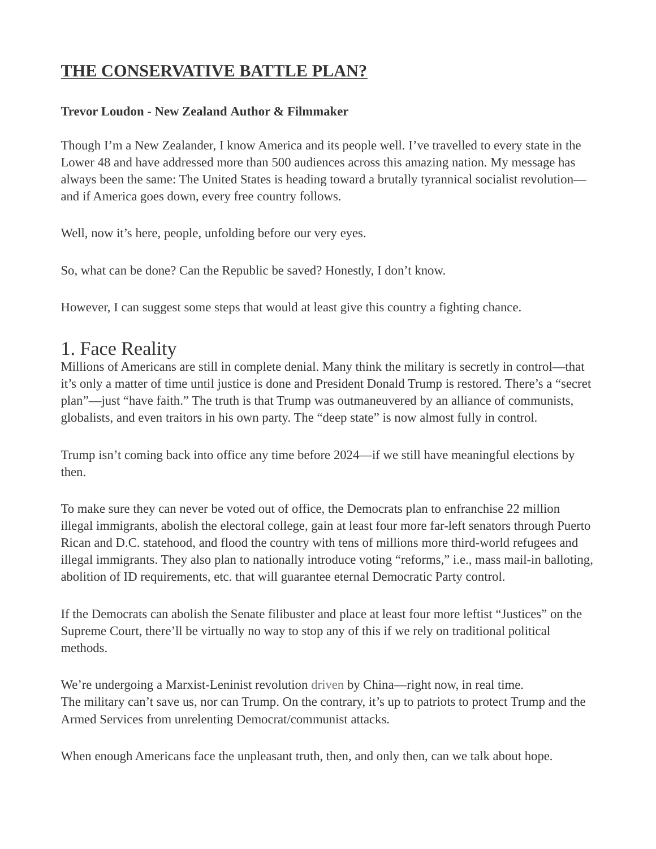#### **THE CONSERVATIVE BATTLE PLAN?**

#### **Trevor Loudon - New Zealand Author & Filmmaker**

Though I'm a New Zealander, I know America and its people well. I've travelled to every state in the Lower 48 and have addressed more than 500 audiences across this amazing nation. My message has always been the same: The United States is heading toward a brutally tyrannical socialist revolution and if America goes down, every free country follows.

Well, now it's here, people, unfolding before our very eyes.

So, what can be done? Can the Republic be saved? Honestly, I don't know.

However, I can suggest some steps that would at least give this country a fighting chance.

## 1. Face Reality

Millions of Americans are still in complete denial. Many think the military is secretly in control—that it's only a matter of time until justice is done and President Donald Trump is restored. There's a "secret plan"—just "have faith." The truth is that Trump was outmaneuvered by an alliance of communists, globalists, and even traitors in his own party. The "deep state" is now almost fully in control.

Trump isn't coming back into office any time before 2024—if we still have meaningful elections by then.

To make sure they can never be voted out of office, the Democrats plan to enfranchise 22 million illegal immigrants, abolish the electoral college, gain at least four more far-left senators through Puerto Rican and D.C. statehood, and flood the country with tens of millions more third-world refugees and illegal immigrants. They also plan to nationally introduce voting "reforms," i.e., mass mail-in balloting, abolition of ID requirements, etc. that will guarantee eternal Democratic Party control.

If the Democrats can abolish the Senate filibuster and place at least four more leftist "Justices" on the Supreme Court, there'll be virtually no way to stop any of this if we rely on traditional political methods.

We're undergoing a Marxist-Leninist revolution [driven](https://m.theepochtimes.com/peoples-war-pro-china-communists-claim-credit-for-sparking-us-riots_3406249.html) by China—right now, in real time. The military can't save us, nor can Trump. On the contrary, it's up to patriots to protect Trump and the Armed Services from unrelenting Democrat/communist attacks.

When enough Americans face the unpleasant truth, then, and only then, can we talk about hope.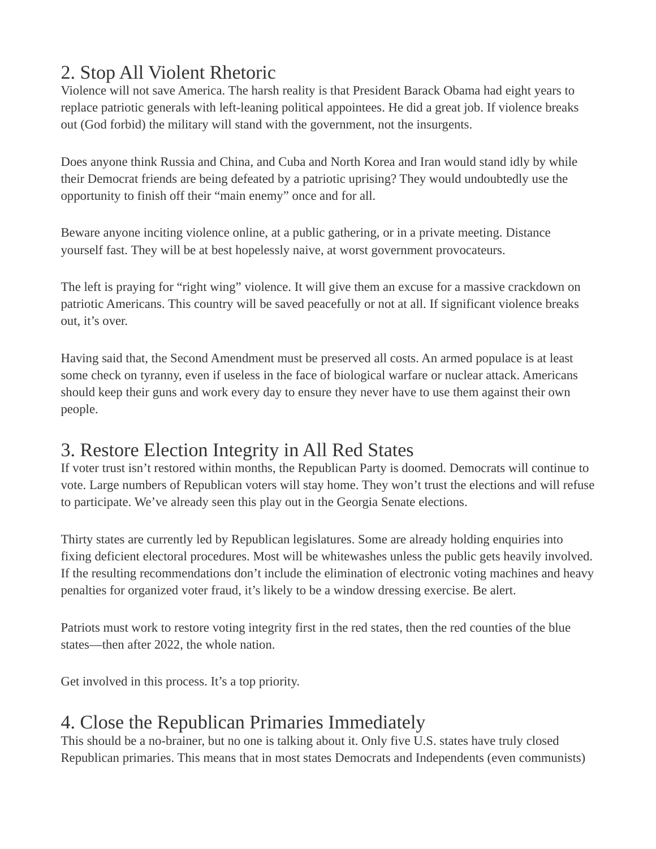# 2. Stop All Violent Rhetoric

Violence will not save America. The harsh reality is that President Barack Obama had eight years to replace patriotic generals with left-leaning political appointees. He did a great job. If violence breaks out (God forbid) the military will stand with the government, not the insurgents.

Does anyone think Russia and China, and Cuba and North Korea and Iran would stand idly by while their Democrat friends are being defeated by a patriotic uprising? They would undoubtedly use the opportunity to finish off their "main enemy" once and for all.

Beware anyone inciting violence online, at a public gathering, or in a private meeting. Distance yourself fast. They will be at best hopelessly naive, at worst government provocateurs.

The left is praying for "right wing" violence. It will give them an excuse for a massive crackdown on patriotic Americans. This country will be saved peacefully or not at all. If significant violence breaks out, it's over.

Having said that, the Second Amendment must be preserved all costs. An armed populace is at least some check on tyranny, even if useless in the face of biological warfare or nuclear attack. Americans should keep their guns and work every day to ensure they never have to use them against their own people.

## 3. Restore Election Integrity in All Red States

If voter trust isn't restored within months, the Republican Party is doomed. Democrats will continue to vote. Large numbers of Republican voters will stay home. They won't trust the elections and will refuse to participate. We've already seen this play out in the Georgia Senate elections.

Thirty states are currently led by Republican legislatures. Some are already holding enquiries into fixing deficient electoral procedures. Most will be whitewashes unless the public gets heavily involved. If the resulting recommendations don't include the elimination of electronic voting machines and heavy penalties for organized voter fraud, it's likely to be a window dressing exercise. Be alert.

Patriots must work to restore voting integrity first in the red states, then the red counties of the blue states—then after 2022, the whole nation.

Get involved in this process. It's a top priority.

# 4. Close the Republican Primaries Immediately

This should be a no-brainer, but no one is talking about it. Only five U.S. states have truly closed Republican primaries. This means that in most states Democrats and Independents (even communists)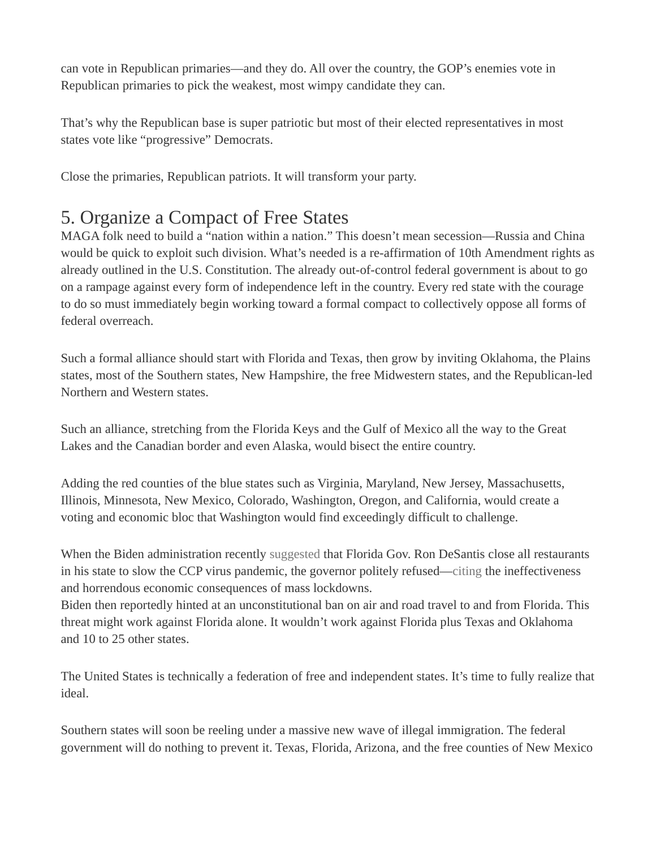can vote in Republican primaries—and they do. All over the country, the GOP's enemies vote in Republican primaries to pick the weakest, most wimpy candidate they can.

That's why the Republican base is super patriotic but most of their elected representatives in most states vote like "progressive" Democrats.

Close the primaries, Republican patriots. It will transform your party.

## 5. Organize a Compact of Free States

MAGA folk need to build a "nation within a nation." This doesn't mean secession—Russia and China would be quick to exploit such division. What's needed is a re-affirmation of 10th Amendment rights as already outlined in the U.S. Constitution. The already out-of-control federal government is about to go on a rampage against every form of independence left in the country. Every red state with the courage to do so must immediately begin working toward a formal compact to collectively oppose all forms of federal overreach.

Such a formal alliance should start with Florida and Texas, then grow by inviting Oklahoma, the Plains states, most of the Southern states, New Hampshire, the free Midwestern states, and the Republican-led Northern and Western states.

Such an alliance, stretching from the Florida Keys and the Gulf of Mexico all the way to the Great Lakes and the Canadian border and even Alaska, would bisect the entire country.

Adding the red counties of the blue states such as Virginia, Maryland, New Jersey, Massachusetts, Illinois, Minnesota, New Mexico, Colorado, Washington, Oregon, and California, would create a voting and economic bloc that Washington would find exceedingly difficult to challenge.

When the Biden administration recently [suggested](https://eu.jacksonville.com/story/news/coronavirus/2021/01/26/white-house-florida-should-close-bars-restaurants-and-gyms-stop-covid/4263253001/) that Florida Gov. Ron DeSantis close all restaurants in his state to slow the CCP virus pandemic, the governor politely refused[—citing](https://www.youtube.com/watch?v=PI_WDzFPDsw) the ineffectiveness and horrendous economic consequences of mass lockdowns.

Biden then reportedly hinted at an unconstitutional ban on air and road travel to and from Florida. This threat might work against Florida alone. It wouldn't work against Florida plus Texas and Oklahoma and 10 to 25 other states.

The United States is technically a federation of free and independent states. It's time to fully realize that ideal.

Southern states will soon be reeling under a massive new wave of illegal immigration. The federal government will do nothing to prevent it. Texas, Florida, Arizona, and the free counties of New Mexico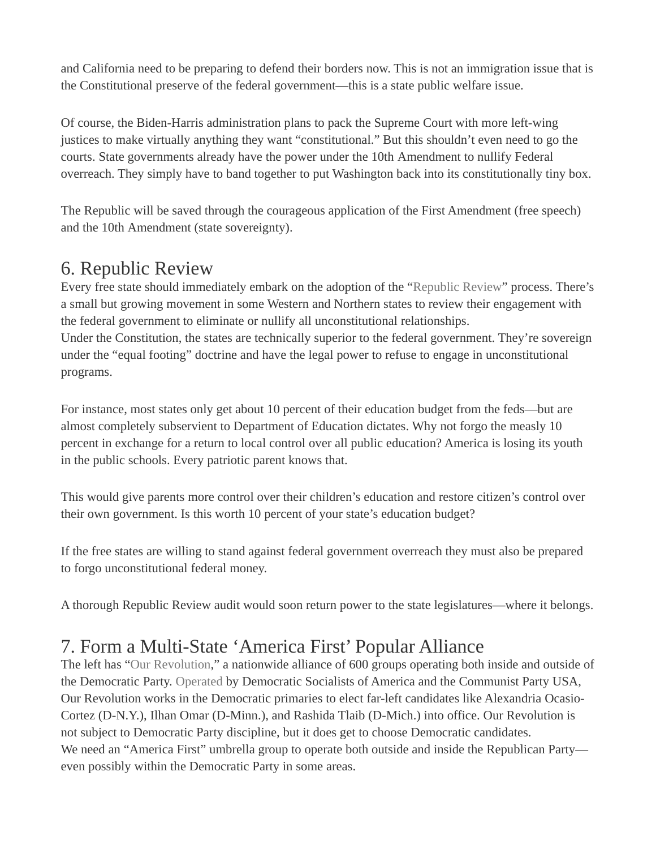and California need to be preparing to defend their borders now. This is not an immigration issue that is the Constitutional preserve of the federal government—this is a state public welfare issue.

Of course, the Biden-Harris administration plans to pack the Supreme Court with more left-wing justices to make virtually anything they want "constitutional." But this shouldn't even need to go the courts. State governments already have the power under the 10th Amendment to nullify Federal overreach. They simply have to band together to put Washington back into its constitutionally tiny box.

The Republic will be saved through the courageous application of the First Amendment (free speech) and the 10th Amendment (state sovereignty).

#### 6. Republic Review

Every free state should immediately embark on the adoption of the "[Republic Review"](http://www.reclaimingtherepublic.org/?fbclid=IwAR0ah3vqvUoJq7bUQtdyw4kgUKEEkkrQy1JUtjCXsOZ30crb2Ndr331sQfY) process. There's a small but growing movement in some Western and Northern states to review their engagement with the federal government to eliminate or nullify all unconstitutional relationships. Under the Constitution, the states are technically superior to the federal government. They're sovereign under the "equal footing" doctrine and have the legal power to refuse to engage in unconstitutional programs.

For instance, most states only get about 10 percent of their education budget from the feds—but are almost completely subservient to Department of Education dictates. Why not forgo the measly 10 percent in exchange for a return to local control over all public education? America is losing its youth in the public schools. Every patriotic parent knows that.

This would give parents more control over their children's education and restore citizen's control over their own government. Is this worth 10 percent of your state's education budget?

If the free states are willing to stand against federal government overreach they must also be prepared to forgo unconstitutional federal money.

A thorough Republic Review audit would soon return power to the state legislatures—where it belongs.

## 7. Form a Multi-State 'America First' Popular Alliance

The left has "[Our Revolution,](https://ourrevolution.com/)" a nationwide alliance of 600 groups operating both inside and outside of the Democratic Party. [Operated](https://m.theepochtimes.com/our-revolution-marxist-trojan-horse-inside-the-democratic-party_2749933.html) by Democratic Socialists of America and the Communist Party USA, Our Revolution works in the Democratic primaries to elect far-left candidates like Alexandria Ocasio-Cortez (D-N.Y.), Ilhan Omar (D-Minn.), and Rashida Tlaib (D-Mich.) into office. Our Revolution is not subject to Democratic Party discipline, but it does get to choose Democratic candidates. We need an "America First" umbrella group to operate both outside and inside the Republican Party even possibly within the Democratic Party in some areas.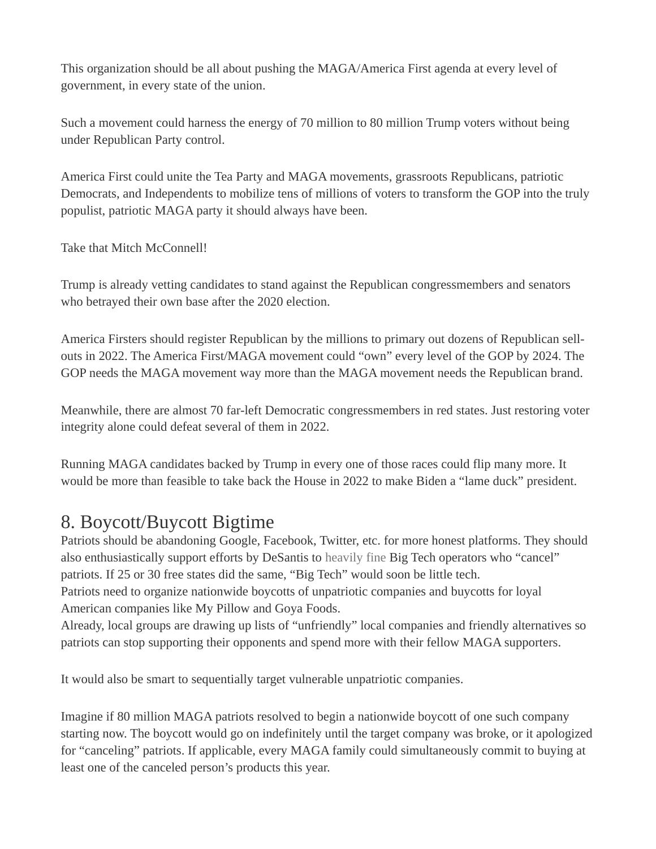This organization should be all about pushing the MAGA/America First agenda at every level of government, in every state of the union.

Such a movement could harness the energy of 70 million to 80 million Trump voters without being under Republican Party control.

America First could unite the Tea Party and MAGA movements, grassroots Republicans, patriotic Democrats, and Independents to mobilize tens of millions of voters to transform the GOP into the truly populist, patriotic MAGA party it should always have been.

Take that Mitch McConnell!

Trump is already vetting candidates to stand against the Republican congressmembers and senators who betrayed their own base after the 2020 election.

America Firsters should register Republican by the millions to primary out dozens of Republican sellouts in 2022. The America First/MAGA movement could "own" every level of the GOP by 2024. The GOP needs the MAGA movement way more than the MAGA movement needs the Republican brand.

Meanwhile, there are almost 70 far-left Democratic congressmembers in red states. Just restoring voter integrity alone could defeat several of them in 2022.

Running MAGA candidates backed by Trump in every one of those races could flip many more. It would be more than feasible to take back the House in 2022 to make Biden a "lame duck" president.

## 8. Boycott/Buycott Bigtime

Patriots should be abandoning Google, Facebook, Twitter, etc. for more honest platforms. They should also enthusiastically support efforts by DeSantis to [heavily fine](https://www.orlandoweekly.com/Blogs/archives/2021/02/03/florida-gov-ron-desantis-wants-to-fine-big-tech-100000-per-day-for-censoring-political-candidates) Big Tech operators who "cancel" patriots. If 25 or 30 free states did the same, "Big Tech" would soon be little tech. Patriots need to organize nationwide boycotts of unpatriotic companies and buycotts for loyal American companies like My Pillow and Goya Foods.

Already, local groups are drawing up lists of "unfriendly" local companies and friendly alternatives so patriots can stop supporting their opponents and spend more with their fellow MAGA supporters.

It would also be smart to sequentially target vulnerable unpatriotic companies.

Imagine if 80 million MAGA patriots resolved to begin a nationwide boycott of one such company starting now. The boycott would go on indefinitely until the target company was broke, or it apologized for "canceling" patriots. If applicable, every MAGA family could simultaneously commit to buying at least one of the canceled person's products this year.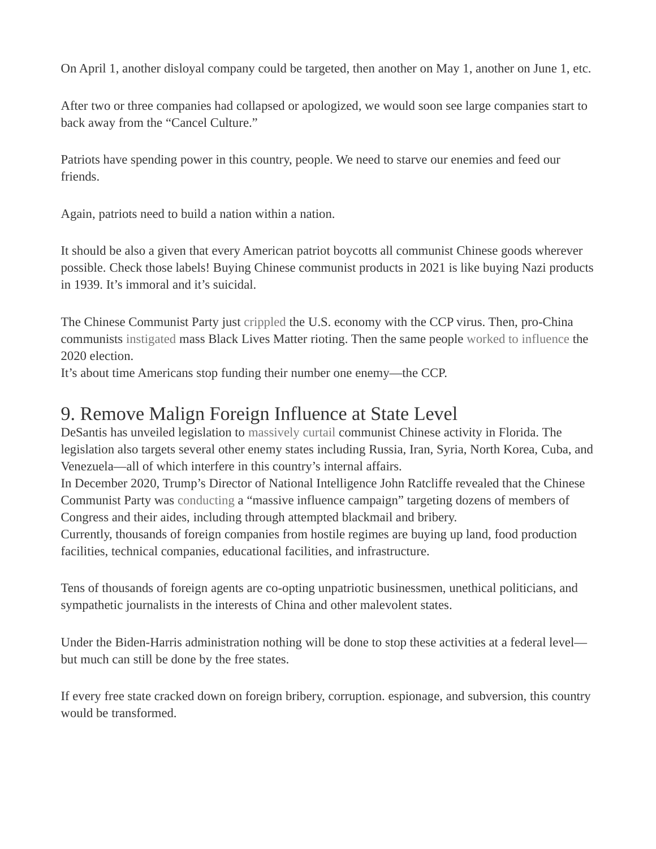On April 1, another disloyal company could be targeted, then another on May 1, another on June 1, etc.

After two or three companies had collapsed or apologized, we would soon see large companies start to back away from the "Cancel Culture."

Patriots have spending power in this country, people. We need to starve our enemies and feed our friends.

Again, patriots need to build a nation within a nation.

It should be also a given that every American patriot boycotts all communist Chinese goods wherever possible. Check those labels! Buying Chinese communist products in 2021 is like buying Nazi products in 1939. It's immoral and it's suicidal.

The Chinese Communist Party just [crippled](https://m.theepochtimes.com/have-they-no-shame-american-communists-exploit-ccp-virus-to-propagandize-for-their-chinese-masters_3284526.html) the U.S. economy with the CCP virus. Then, pro-China communists [instigated](https://m.theepochtimes.com/beijings-revenge-two-pro-china-communist-parties-coordinate-violent-us-protests_3380537.html) mass Black Lives Matter rioting. Then the same people [worked to influence](https://m.theepochtimes.com/how-pro-beijing-communists-almost-stole-the-election-for-joe-biden-the-old-fashioned-way_3600414.html) the 2020 election.

It's about time Americans stop funding their number one enemy—the CCP.

#### 9. Remove Malign Foreign Influence at State Level

DeSantis has unveiled legislation to [massively curtail](https://www.politico.com/states/florida/story/2021/03/01/desantis-and-florida-gop-target-china-after-cpac-1366303) communist Chinese activity in Florida. The legislation also targets several other enemy states including Russia, Iran, Syria, North Korea, Cuba, and Venezuela—all of which interfere in this country's internal affairs.

In December 2020, Trump's Director of National Intelligence John Ratcliffe revealed that the Chinese Communist Party was [conducting](https://www.washingtonexaminer.com/news/john-ratcliffe-china-attempting-blackmail-and-bribery-against-members-of-congress) a "massive influence campaign" targeting dozens of members of Congress and their aides, including through attempted blackmail and bribery.

Currently, thousands of foreign companies from hostile regimes are buying up land, food production facilities, technical companies, educational facilities, and infrastructure.

Tens of thousands of foreign agents are co-opting unpatriotic businessmen, unethical politicians, and sympathetic journalists in the interests of China and other malevolent states.

Under the Biden-Harris administration nothing will be done to stop these activities at a federal level but much can still be done by the free states.

If every free state cracked down on foreign bribery, corruption. espionage, and subversion, this country would be transformed.